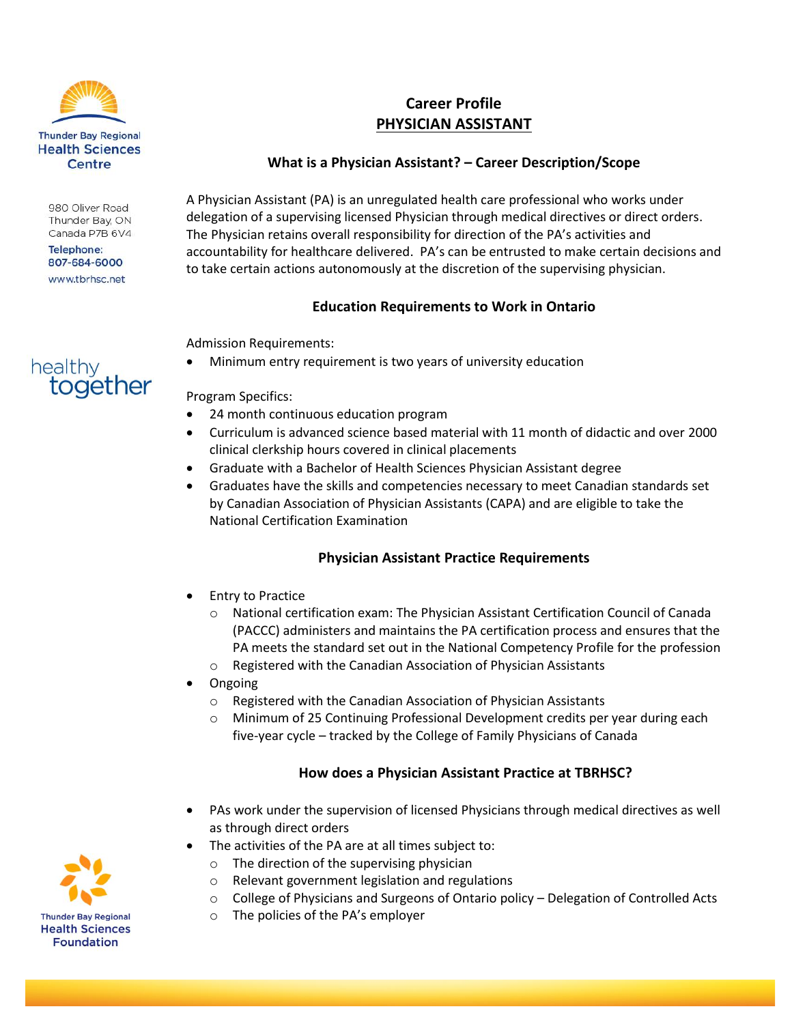

980 Oliver Road Thunder Bay, ON Canada P7B 6V4

Telephone: 807-684-6000 www.tbrhsc.net

together

healthy

# **Career Profile PHYSICIAN ASSISTANT**

## **What is a Physician Assistant? – Career Description/Scope**

A Physician Assistant (PA) is an unregulated health care professional who works under delegation of a supervising licensed Physician through medical directives or direct orders. The Physician retains overall responsibility for direction of the PA's activities and accountability for healthcare delivered. PA's can be entrusted to make certain decisions and to take certain actions autonomously at the discretion of the supervising physician.

### **Education Requirements to Work in Ontario**

Admission Requirements:

Minimum entry requirement is two years of university education

#### Program Specifics:

- 24 month continuous education program
- Curriculum is advanced science based material with 11 month of didactic and over 2000 clinical clerkship hours covered in clinical placements
- Graduate with a Bachelor of Health Sciences Physician Assistant degree
- Graduates have the skills and competencies necessary to meet Canadian standards set by Canadian Association of Physician Assistants (CAPA) and are eligible to take the National Certification Examination

# **Physician Assistant Practice Requirements**

- Entry to Practice
	- o National certification exam: The Physician Assistant Certification Council of Canada (PACCC) administers and maintains the PA certification process and ensures that the PA meets the standard set out in the National Competency Profile for the profession
	- o Registered with the Canadian Association of Physician Assistants
- Ongoing
	- o Registered with the Canadian Association of Physician Assistants
	- o Minimum of 25 Continuing Professional Development credits per year during each five-year cycle – tracked by the College of Family Physicians of Canada

### **How does a Physician Assistant Practice at TBRHSC?**

- PAs work under the supervision of licensed Physicians through medical directives as well as through direct orders
- The activities of the PA are at all times subject to:
	- $\circ$  The direction of the supervising physician
	- o Relevant government legislation and regulations
	- o College of Physicians and Surgeons of Ontario policy Delegation [of Controlled Acts](http://www.cpso.on.ca/policies/policies/default.aspx?ID=1554)
	- o The policies of the PA's employer